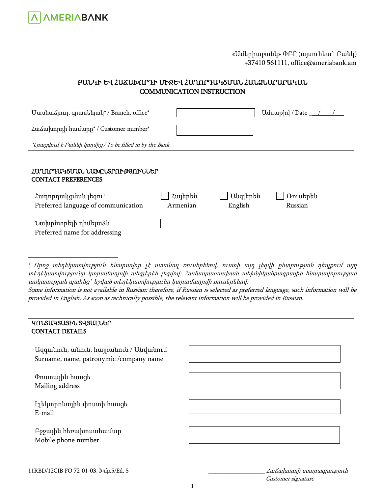

## «Ամերիաբանկ» ՓԲԸ (այսուհետ` Բանկ) +37410 561111, office@ameriabank.am

# ԲԱՆԿԻ ԵՎ ՀԱՃԱԽՈՐԴԻ ՄԻՋԵՎ ՀԱՂՈՐԴԱԿՑՄԱՆ ՀԱՆՁՆԱՐԱՐԱԿԱՆ COMMUNICATION INSTRUCTION

| U wu u αρπη, q n wu b u u d * / Branch, office *                       |                     |                     | Unumphy / Date $\_\_\_\_\_\_\_\_\_$ |  |
|------------------------------------------------------------------------|---------------------|---------------------|-------------------------------------|--|
| <i>ζ</i> ω διμητή hui της ' Customer number <sup>*</sup>               |                     |                     |                                     |  |
| *Lnugynuf k fuluyh ynnyhg / To be filled in by the Bank                |                     |                     |                                     |  |
|                                                                        |                     |                     |                                     |  |
| ՀԱՂՈՐԴԱԿՑՄԱՆ ՆԱԽԸՆՏՐՈՒԹՅՈՒՆՆԵՐ<br><b>CONTACT PREFERENCES</b>           |                     |                     |                                     |  |
| Հաղորդակցման լեզու <sup>1</sup><br>Preferred language of communication | Հայերեն<br>Armenian | Անգլերեն<br>English | Ռուսերեն<br>Russian                 |  |
| Նախընտրելի դիմելաձև<br>Preferred name for addressing                   |                     |                     |                                     |  |

 $1$  Որո $2$  տեղեկատվություն հնարավոր չէ ստանալ ռուսերենով, ուստի այդ լեզվի ընտրության դեպքում այդ տեղեկատվությունը կտրամադրվի անգլերեն լեզվով: Համապատասխան տեխնիկածրագրային հնարավորության առկայության պահից` նշված տեղեկատվությունը կտրամադրվի ռուսերենով:

Some information is not available in Russian; therefore, if Russian is selected as preferred language, such information will be provided in English. As soon as technically possible, the relevant information will be provided in Russian.

### ԿՈՆՏԱԿՏԱՅԻՆ ՏՎՅԱԼՆԵՐ CONTACT DETAILS

 $\overline{a}$ 

| Uqquu untu, muntu, huypu untu / Uuyu untu<br>Surname, name, patronymic /company name |  |
|--------------------------------------------------------------------------------------|--|
| Փոստային հասցե<br>Mailing address                                                    |  |
| Էլեկտրոնային փոստի հասցե<br>E-mail                                                   |  |
| Բջջային հեռախոսահամար<br>Mobile phone number                                         |  |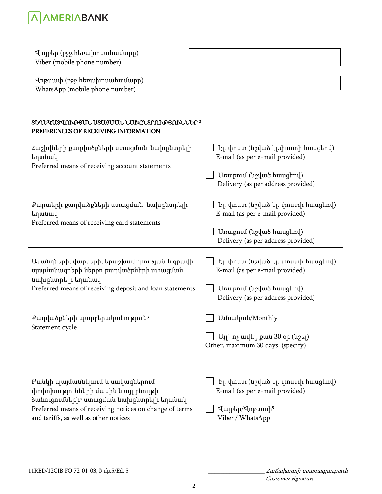

| Վայբեր (բջջ.hեռախոսահամարը)<br>Viber (mobile phone number)<br>Վոթսափ (բջջ.hեռախոսահամարը)<br>WhatsApp (mobile phone number)      |                                                                                  |  |  |  |
|----------------------------------------------------------------------------------------------------------------------------------|----------------------------------------------------------------------------------|--|--|--|
| <b>SԵՂԵԿԱՏՎՈՒԹՅԱՆ USUՑՄԱՆ ՆԱԽԸՆՏՐՈՒԹՅՈՒՆՆԵՐ</b> 2<br>PREFERENCES OF RECEIVING INFORMATION                                        |                                                                                  |  |  |  |
| Հաշիվների քաղվածքների ստացման նախընտրելի<br>եղանակ                                                                               | Էլ. փոստ (նշված էլ.փոստի հասցեով)<br>E-mail (as per e-mail provided)             |  |  |  |
| Preferred means of receiving account statements                                                                                  | Unumpul (u / u buughnu)<br>Delivery (as per address provided)                    |  |  |  |
| Քարտերի քաղվածքների ստացման նախընտրելի<br>եղանակ                                                                                 | էլ. փոստ (նշված էլ. փոստի հասցեով)<br>E-mail (as per e-mail provided)            |  |  |  |
| Preferred means of receiving card statements                                                                                     | Unwpniu (uzuwo hwughnu)<br>Delivery (as per address provided)                    |  |  |  |
| Ավանդների, վարկերի, երաշխավորության և գրավի<br>պայմանագրերի ներքո քաղվածքների ստացման                                            | էլ. փոստ (նշված էլ. փոստի հասցեով)<br>E-mail (as per e-mail provided)            |  |  |  |
| նախընտրելի եղանակ<br>Preferred means of receiving deposit and loan statements                                                    | Unumpul (unlub huugtnu)<br>Delivery (as per address provided)                    |  |  |  |
| Քաղվածքների պարբերականություն <sup>3</sup><br>Statement cycle                                                                    | Uuuuluuul/Monthly                                                                |  |  |  |
|                                                                                                                                  | U <sub>J</sub> ] ` ny ավել, քան 30 օր (նշել)<br>Other, maximum 30 days (specify) |  |  |  |
|                                                                                                                                  |                                                                                  |  |  |  |
| Բանկի պայմաններում և սակագներում<br>փոփոխությունների մասին և այլ բնույթի<br>ծանուցումների <sup>4</sup> ստացման նախընտրելի եղանակ | էլ. փոստ (նշված էլ. փոստի հասցեով)<br>E-mail (as per e-mail provided)            |  |  |  |
| Preferred means of receiving notices on change of terms<br>and tariffs, as well as other notices                                 | Վայբեր/Վոթսափ5<br>Viber / WhatsApp                                               |  |  |  |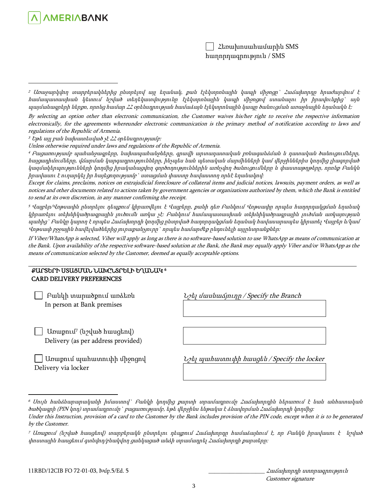

By selecting an option other than electronic communication, the Customer waives his/her right to receive the respective information electronically, for the agreements whereunder electronic communication is the primary method of notification according to laws and regulations of the Republic of Armenia.

 $3$  Եթե այլ բան նախատեսված չէ ՀՀ օրենսդրությամբ։

**AMERIABANK** 

 $\overline{a}$ 

 $\overline{a}$ 

Unless otherwise required under laws and regulations of the Republic of Armenia.

<sup>4</sup> Բացառությամբ պահանջագրերը, նախապահանջները, գրավի արտադատական բռնագանձման և դատական ծանուցումները, հայցադիմումները, վճարման կարգադրությունները, ինչպես նաև պետական մարմինների կամ վերջիններիս կողմից լիազորված կազմակերպությունների կողմից իրականացվող գործողություններին առնչվող ծանուցումները և փաստաթղթերը, որոնք Բանկն իրավասու է ուղարկել իր հայեցողությամբ` ստացման փաստը հավաստող որևէ եղանակով:

Except for claims, preclaims, notices on extrajudicial foreclosure of collateral items and judicial notices, lawsuits, payment orders, as well as notices and other documents related to actions taken by government agencies or organizations authorized by them, which the Bank is entitled to send at its own discretion, in any manner confirming the receipt.

<sup>5</sup> Վայբեր/Վոթսափն ընտրելու դեպքում կիրառվելու է Վայբերը, քանի դեռ Բանկում Վոթսափը որպես հաղորդակցման եղանակ կիրառելու տեխնիկածրագրային լուծումն առկա չէ: Բանկում համապատասխան տեխնիկածրագրային լուծման առկայության պահից` Բանկը կարող է որպես Հաճախորդի կողմից ընտրված հաղորդակցման եղանակ հավասարապես կիրառել Վայբեր և/կամ Վոթսափ բջջային հավելվածներից յուրաքանչյուրը` որպես համարժեք ընդունելի այլընտրանքներ:

If Viber/WhatsApp is selected, Viber will apply as long as there is no software-based solution to use WhatsApp as means of communication at the Bank. Upon availability of the respective software-based solution at the Bank, the Bank may equally apply Viber and/or WhatsApp as the means of communication selected by the Customer, deemed as equally acceptable options.

#### ՔԱՐՏԵՐԻ ՍՏԱՑՄԱՆ ՆԱԽԸՆՏՐԵԼԻ ԵՂԱՆԱԿ 6 CARD DELIVERY PREFERENCES

| $L$ <sub>2</sub> $L$ <sub>1</sub> ปนบน์บน $\Delta$ <sub>1</sub> n unp / Specify the Branch |
|--------------------------------------------------------------------------------------------|
|                                                                                            |
|                                                                                            |
| <i><b>U</b>d</i> <sub><i>l</i></sub> www.hunnuphp hungdati / Specify the locker            |
|                                                                                            |

Customer signature

<sup>2</sup> Առաջարկվող տարբերակներից ընտրելով այլ եղանակ, քան էլեկտրոնային կապի միջոցը` Հաճախորդը հրաժարվում է համապատասխան կետում նշված տեղեկատվությունը էլեկտրոնային կապի միջոցով ստանալու իր իրավունքից` այն պայմանագրերի ներքո, որոնց համար ՀՀ օրենսդրության համաձայն էլեկտրոնային կապը ծանուցման առաջնային եղանակն է:

<sup>6</sup> Սույն հանձնարարականի իմաստով` Բանկի կողմից քարտի տրամադրումը Հաճախորդին ներառում է նաև անհատական ծածկագրի (PIN կոդ) տրամադրումը` բացառությամբ, եթե վերջինս ենթակա է ձևավորման Հաճախորդի կողմից:

Under this Instruction, provision of a card to the Customer by the Bank includes provision of the PIN code, except when it is to be generated by the Customer.

<sup>7</sup> Առաքում (նշված հասցեով) տարբերակն ընտրելու դեպքում Հաճախորդը համաձայնում է, որ Բանկն իրավասու է նշված փոստային հասցեում գտնվող/բնակվող ցանկացած անձի տրամադրել Հաճախորդի քարտերը: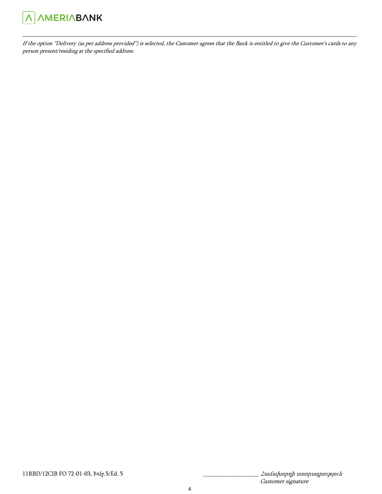

 $\overline{a}$ 

If the option "Delivery (as per address provided") is selected, the Customer agrees that the Bank is entitled to give the Customer's cards to any person present/residing at the specified address.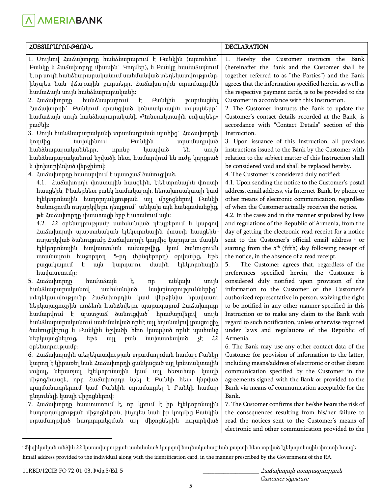**A AMERIABANK** 

| ՀԱՅՏԱՐԱՐՈՒԹՅՈՒՆ                                                                                                                                                                                                                                                                                                                                                                                                                                                                                                                                                                                                                                                                                                                                                                                                                                                                                                                                                                                                                                                                                                                                                                                                                                                                                                                                                                                                                                                                                                                                                                                                                                                                                                                                                                                                                                                                                                                                                                                                                                                                                                                                                                                                                                              | <b>DECLARATION</b>                                                                                                                                                                                                                                                                                                                                                                                                                                                                                                                                                                                                                                                                                                                                                                                                                                                                                                                                                                                                                                                                                                                                                                                                                                                                                                                                                                                                                                                                                                                                                                                                                                                                                                                                                                                                                                                                                                                                                                                                                                                                                                                                                                                                                                 |  |
|--------------------------------------------------------------------------------------------------------------------------------------------------------------------------------------------------------------------------------------------------------------------------------------------------------------------------------------------------------------------------------------------------------------------------------------------------------------------------------------------------------------------------------------------------------------------------------------------------------------------------------------------------------------------------------------------------------------------------------------------------------------------------------------------------------------------------------------------------------------------------------------------------------------------------------------------------------------------------------------------------------------------------------------------------------------------------------------------------------------------------------------------------------------------------------------------------------------------------------------------------------------------------------------------------------------------------------------------------------------------------------------------------------------------------------------------------------------------------------------------------------------------------------------------------------------------------------------------------------------------------------------------------------------------------------------------------------------------------------------------------------------------------------------------------------------------------------------------------------------------------------------------------------------------------------------------------------------------------------------------------------------------------------------------------------------------------------------------------------------------------------------------------------------------------------------------------------------------------------------------------------------|----------------------------------------------------------------------------------------------------------------------------------------------------------------------------------------------------------------------------------------------------------------------------------------------------------------------------------------------------------------------------------------------------------------------------------------------------------------------------------------------------------------------------------------------------------------------------------------------------------------------------------------------------------------------------------------------------------------------------------------------------------------------------------------------------------------------------------------------------------------------------------------------------------------------------------------------------------------------------------------------------------------------------------------------------------------------------------------------------------------------------------------------------------------------------------------------------------------------------------------------------------------------------------------------------------------------------------------------------------------------------------------------------------------------------------------------------------------------------------------------------------------------------------------------------------------------------------------------------------------------------------------------------------------------------------------------------------------------------------------------------------------------------------------------------------------------------------------------------------------------------------------------------------------------------------------------------------------------------------------------------------------------------------------------------------------------------------------------------------------------------------------------------------------------------------------------------------------------------------------------------|--|
| 1. Unyund Հաձախորդը հանձնարարում է Բանկին (այսուհետ<br>Բանկը և Հաձախորդը միասին` Կողմեր), և Բանկը համաձայնում<br>է, որ սույն հանձնարարականում սահմանված տեղեկատվությունը,<br>ինչպես նաև վձարային քարտերը, Հաձախորդին տրամադրվեն<br>համաձայն սույն հանձնարարականի։<br>հանձնարարում<br>Բանկին<br>2. <i><b>Zuidupning</b></i><br>$\mathbf{t}$<br>թարմացնել<br>Հաձախորդի` Բանկում գրանցված կոնտակտային տվյալները`<br>hամաձայն սույն hանձնարարականի «Կոնտակտային տվյալներ»<br>puduh:<br>3. Մույն հանձնարարականի տրամադրման պահից` Հաձախորդի<br>նախկինում<br>Բանկին<br>տրամադրված<br>կողմից<br>հանձնարարականները,<br>են<br>որոնք<br>կապված<br>unyu<br>հանձնարարականում նշվածի հետ, համարվում են ուժը կորցրած<br>և փոխարինված վերջինով։<br>4. Հաճախորդը համարվում է պատշաճ ծանուցված.<br>4.1. Հաձախորդի փոստային հասցեին, էլեկտրոնային փոստի<br>հասցեին, Ինտերնետ բանկ համակարգի, հեռախոսակապի կամ<br>էլեկտրոնային հաղորդակցության այլ միջոցներով Բանկի<br>ծանուցումն ուղարկվելու դեպքում` անկախ այն հանգամանքից,<br>թե Հաձախորդը փաստացի երբ է ստանում այն։<br>4.2. 22 օրենսդրությամբ սահմանված դեպքերում և կարգով<br>Հաձախորդի պաշտոնական էլեկտրոնային փոստի հասցեին <sup>։</sup><br>ուղարկված ծանուցումը Հաձախորդի կողմից կարդալու մասին<br>էլեկտրոնային հավաստման ամսաթվից, կամ ծանուցումն<br>ստանալուն հաջորդող<br>5-րդ (հինգերորդ) օրվանից, եթե<br>բացակայում<br>մասին<br>էլեկտրոնային<br>k<br>$\mu$<br>կարդալու<br>hwywwnufp:<br>5. Համախորդը<br>hwuuduju<br>ţ,<br>անկախ<br>սույն<br>np<br>հանձնարարականով<br>սահմանված<br>նախընտրություններից`<br>տեղեկատվությունը Հաձախորդին կամ վերջինիս իրավասու<br>ներկայացուցչին առձեռն հանձնվելու պարագայում Հաձախորդը<br>համարվում է պատշաձ ծանուցված՝ հրաժարվելով սույն<br>հանձնարարականում սահմանված որևէ այլ եղանակով լրացուցիչ<br>ծանուցվելուց և Բանկին նշվածի հետ կապված որևէ պահանջ<br>ներկայացնելուց,<br>եթե<br>$\left[\frac{1}{2}\right]$<br>puu<br>նախատեսված<br>уĘ<br>22<br>օրենսդրությամբ։<br>6. Հաձախորդին տեղեկատվության տրամադրման համար Բանկը<br>կարող է կիրառել նաև Հաձախորդի ցանկացած այլ կոնտակտային<br>տվյալ, ներառյալ էլեկտրոնային կամ այլ հեռահար կապի<br>միջոց/հասցե, որը Հաձախորդը նշել է Բանկի հետ կնքված<br>պայմանագրերում կամ Բանկին տրամադրել է Բանկի համար<br>րնդունելի կապի միջոցներով։ | 1. Hereby the Customer instructs the Bank<br>(hereinafter the Bank and the Customer shall be<br>together referred to as "the Parties") and the Bank<br>agrees that the information specified herein, as well as<br>the respective payment cards, is to be provided to the<br>Customer in accordance with this Instruction.<br>2. The Customer instructs the Bank to update the<br>Customer's contact details recorded at the Bank, is<br>accordance with "Contact Details" section of this<br>Instruction.<br>3. Upon issuance of this Instruction, all previous<br>instructions issued to the Bank by the Customer with<br>relation to the subject matter of this Instruction shall<br>be considered void and shall be replaced hereby.<br>4. The Customer is considered duly notified:<br>4.1. Upon sending the notice to the Customer's postal<br>address, email address, via Internet-Bank, by phone or<br>other means of electronic communication, regardless<br>of when the Customer actually receives the notice.<br>4.2. In the cases and in the manner stipulated by laws<br>and regulations of the Republic of Armenia, from the<br>day of getting the electronic read receipt for a notice<br>sent to the Customer's official email address <sup>i</sup> or<br>starting from the 5 <sup>th</sup> (fifth) day following receipt of<br>the notice, in the absence of a read receipt.<br>The Customer agrees that, regardless of the<br>5.<br>preferences specified herein, the Customer is<br>considered duly notified upon provision of the<br>information to the Customer or the Customer's<br>authorized representative in person, waiving the right<br>to be notified in any other manner specified in this<br>Instruction or to make any claim to the Bank with<br>regard to such notification, unless otherwise required<br>under laws and regulations of the Republic of<br>Armenia.<br>6. The Bank may use any other contact data of the<br>Customer for provision of information to the latter,<br>including means/address of electronic or other distant<br>communication specified by the Customer in the<br>agreements signed with the Bank or provided to the<br>Bank via means of communication acceptable for the<br>Bank. |  |
| 7. Հաձախորդը հաստատում է, որ կրում է իր էլեկտրոնային<br>հաղորդակցության միջոցներին, ինչպես նաև իր կողմից Բանկին<br>տրամադրված հաղորդակցման այլ միջոցներին ուղարկված                                                                                                                                                                                                                                                                                                                                                                                                                                                                                                                                                                                                                                                                                                                                                                                                                                                                                                                                                                                                                                                                                                                                                                                                                                                                                                                                                                                                                                                                                                                                                                                                                                                                                                                                                                                                                                                                                                                                                                                                                                                                                          | 7. The Customer confirms that he/she bears the risk of<br>the consequences resulting from his/her failure to<br>read the notices sent to the Customer's means of<br>electronic and other communication provided to the                                                                                                                                                                                                                                                                                                                                                                                                                                                                                                                                                                                                                                                                                                                                                                                                                                                                                                                                                                                                                                                                                                                                                                                                                                                                                                                                                                                                                                                                                                                                                                                                                                                                                                                                                                                                                                                                                                                                                                                                                             |  |

<sup>i</sup> Ֆիզիկական անձին ՀՀ կառավարության սահմանած կարգով նույնականացման քարտի հետ տրված էլեկտրոնային փոստի հասցե: Email address provided to the individual along with the identification card, in the manner prescribed by the Government of the RA.

 $\overline{\phantom{a}}$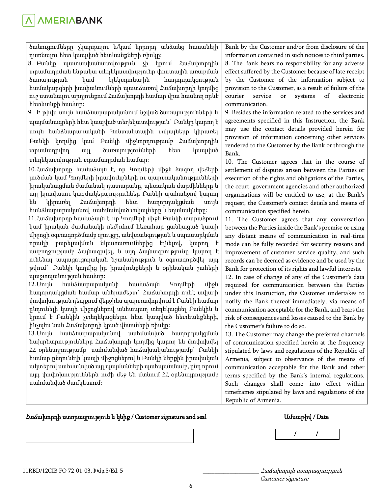ծանուցումները չկարդալու և/կամ երրորդ անձանց հասանելի դառնալու հետ կապված հետևանքների ռիսկը:

8. Բանկը պատասխանատվություն չի կրում Հաճախորդին տրամադրման ենթակա տեղեկատվությունը փոստային առաքման ծառայության կամ էլեկտրոնային հաղորդակցության համակարգերի խափանումների պատճառով Հաճախորդի կողմից ուշ ստանալու արդյունքում Հաճախորդի համար վրա հասնող որևէ հետևանքի համար:

9. Ի թիվս սույն հանձնարարականում նշված ծառայությունների և պայմանագրերի հետ կապված տեղեկատվության` Բանկը կարող է սույն հանձնարարականի Կոնտակտային տվյալները կիրառել Բանկի կողմից կամ Բանկի միջնորդությամբ Հաճախորդին տրամադրվող այլ ծառայությունների հետ կապված տեղեկատվության տրամադրման համար:

10.Հաճախորդը համաձայն է, որ Կողմերի միջև ծագող վեճերի լուծման կամ Կողմերի իրավունքների ու պարտականությունների իրականացման ժամանակ դատարանը, պետական մարմինները և այլ իրավասու կազմակերպություններ Բանկի պահանջով կարող են կիրառել Հաճախորդի հետ հաղորդակցման սույն հանձնարարականով սահմանված տվյալները և եղանակները:

11.Հաճախորդը համաձայն է, որ Կողմերի միջև Բանկի տարածքում կամ իրական ժամանակի ռեժիմում հեռահար ցանկացած կապի միջոցի օգտագործմամբ զրույցը, անվտանգության և սպասարկման որակի բարելավման նկատառումներից ելնելով, կարող է ամբողջությամբ ձայնագրվել, և այդ ձայնագրությունը կարող է ունենալ ապացուցողական նշանակություն և օգտագործվել այդ թվում` Բանկի կողմից իր իրավունքների և օրինական շահերի պաշտպանության համար:

12.Սույն հանձնարարականի համաձայն Կողմերի միջև հաղորդակցման համար անհրաժեշտ` Հաճախորդի որևէ տվյալի փոփոխության դեպքում վերջինս պարտավորվում է Բանկի համար ընդունելի կապի միջոցներով անհապաղ տեղեկացնել Բանկին և կրում է Բանկին չտեղեկացնելու հետ կապված հետևանքների, ինչպես նաև Հաճախորդի կրած վնասների ռիսկը:

13.Սույն հանձնարարականով սահմանված հաղորդակցման նախընտրությունները Հաճախորդի կողմից կարող են փոփոխվել ՀՀ օրենսդրությամբ սահմանված հաճախականությամբ` Բանկի համար ընդունելի կապի միջոցներով և Բանկի ներքին իրավական ակտերով սահմանված այլ պայմանների պահպանմամբ, ընդ որում այդ փոփոխություններն ուժի մեջ են մտնում ՀՀ օրենսդրությամբ սահմանված ժամկետում:

Bank by the Customer and/or from disclosure of the information contained in such notices to third parties. 8. The Bank bears no responsibility for any adverse effect suffered by the Customer because of late receipt by the Customer of the information subject to provision to the Customer, as a result of failure of the courier service or systems of electronic communication.

9. Besides the information related to the services and agreements specified in this Instruction, the Bank may use the contact details provided herein for provision of information concerning other services rendered to the Customer by the Bank or through the Bank.

10. The Customer agrees that in the course of settlement of disputes arisen between the Parties or execution of the rights and obligations of the Parties, the court, government agencies and other authorized organizations will be entitled to use, at the Bank's request, the Customer's contact details and means of communication specified herein.

11. The Customer agrees that any conversation between the Parties inside the Bank's premise or using any distant means of communication in real-time mode can be fully recorded for security reasons and improvement of customer service quality, and such records can be deemed as evidence and be used by the Bank for protection of its rights and lawful interests.

12. In case of change of any of the Customer's data required for communication between the Parties under this Instruction, the Customer undertakes to notify the Bank thereof immediately, via means of communication acceptable for the Bank, and bears the risk of consequences and losses caused to the Bank by the Customer's failure to do so.

13. The Customer may change the preferred channels of communication specified herein at the frequency stipulated by laws and regulations of the Republic of Armenia, subject to observance of the means of communication acceptable for the Bank and other terms specified by the Bank's internal regulations. Such changes shall come into effect within timeframes stipulated by laws and regulations of the Republic of Armenia.

### Հաճախորդի ստորագրություն և կնիք / Customer signature and seal

## Ամսաթիվ / Date